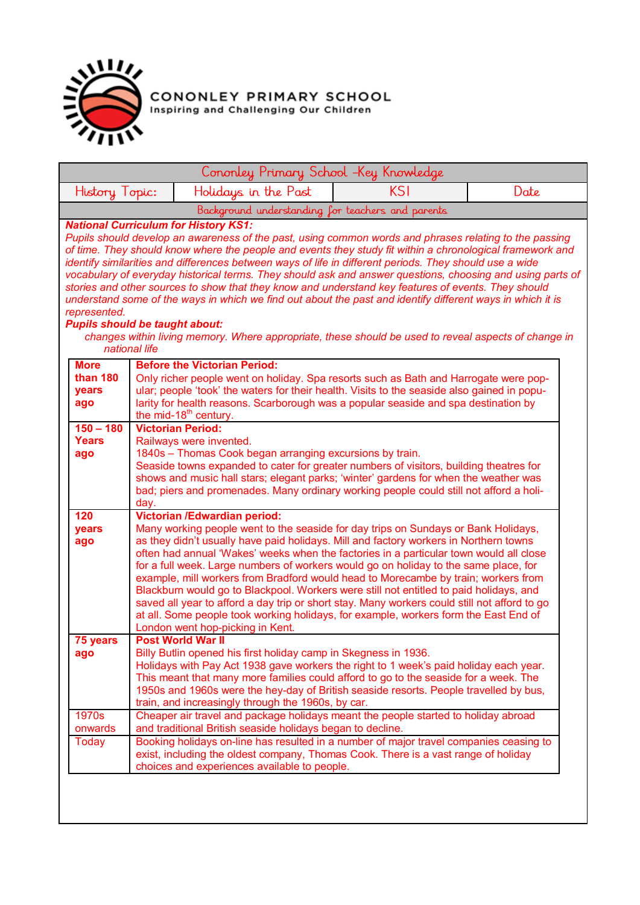

**CONONLEY PRIMARY SCHOOL**<br>Inspiring and Challenging Our Children

| Cononley Primary School -Key Knowledge                |                                                                                                                                                                                                                                                                                  |                                                                                                                                                                                                                                                                                                                                                                                                                                                                                                                                                                                                                                                                                                            |  |  |            |                                                                                                            |  |
|-------------------------------------------------------|----------------------------------------------------------------------------------------------------------------------------------------------------------------------------------------------------------------------------------------------------------------------------------|------------------------------------------------------------------------------------------------------------------------------------------------------------------------------------------------------------------------------------------------------------------------------------------------------------------------------------------------------------------------------------------------------------------------------------------------------------------------------------------------------------------------------------------------------------------------------------------------------------------------------------------------------------------------------------------------------------|--|--|------------|------------------------------------------------------------------------------------------------------------|--|
| History Topic:                                        |                                                                                                                                                                                                                                                                                  | Holidays in the Past                                                                                                                                                                                                                                                                                                                                                                                                                                                                                                                                                                                                                                                                                       |  |  | <b>KSI</b> | Date                                                                                                       |  |
|                                                       |                                                                                                                                                                                                                                                                                  | Background understanding for teachers and parents                                                                                                                                                                                                                                                                                                                                                                                                                                                                                                                                                                                                                                                          |  |  |            |                                                                                                            |  |
| represented.<br><b>Pupils should be taught about:</b> | national life                                                                                                                                                                                                                                                                    | <b>National Curriculum for History KS1:</b><br>Pupils should develop an awareness of the past, using common words and phrases relating to the passing<br>of time. They should know where the people and events they study fit within a chronological framework and<br>identify similarities and differences between ways of life in different periods. They should use a wide<br>stories and other sources to show that they know and understand key features of events. They should<br>understand some of the ways in which we find out about the past and identify different ways in which it is<br>changes within living memory. Where appropriate, these should be used to reveal aspects of change in |  |  |            | vocabulary of everyday historical terms. They should ask and answer questions, choosing and using parts of |  |
| <b>More</b><br>than 180                               |                                                                                                                                                                                                                                                                                  | <b>Before the Victorian Period:</b>                                                                                                                                                                                                                                                                                                                                                                                                                                                                                                                                                                                                                                                                        |  |  |            |                                                                                                            |  |
| years                                                 |                                                                                                                                                                                                                                                                                  | Only richer people went on holiday. Spa resorts such as Bath and Harrogate were pop-<br>ular; people 'took' the waters for their health. Visits to the seaside also gained in popu-                                                                                                                                                                                                                                                                                                                                                                                                                                                                                                                        |  |  |            |                                                                                                            |  |
| ago                                                   |                                                                                                                                                                                                                                                                                  | larity for health reasons. Scarborough was a popular seaside and spa destination by<br>the mid-18 <sup>th</sup> century.                                                                                                                                                                                                                                                                                                                                                                                                                                                                                                                                                                                   |  |  |            |                                                                                                            |  |
| $150 - 180$                                           |                                                                                                                                                                                                                                                                                  | <b>Victorian Period:</b>                                                                                                                                                                                                                                                                                                                                                                                                                                                                                                                                                                                                                                                                                   |  |  |            |                                                                                                            |  |
| <b>Years</b>                                          | Railways were invented.                                                                                                                                                                                                                                                          |                                                                                                                                                                                                                                                                                                                                                                                                                                                                                                                                                                                                                                                                                                            |  |  |            |                                                                                                            |  |
| ago                                                   | 1840s - Thomas Cook began arranging excursions by train.                                                                                                                                                                                                                         |                                                                                                                                                                                                                                                                                                                                                                                                                                                                                                                                                                                                                                                                                                            |  |  |            |                                                                                                            |  |
|                                                       | Seaside towns expanded to cater for greater numbers of visitors, building theatres for<br>shows and music hall stars; elegant parks; 'winter' gardens for when the weather was<br>bad; piers and promenades. Many ordinary working people could still not afford a holi-<br>day. |                                                                                                                                                                                                                                                                                                                                                                                                                                                                                                                                                                                                                                                                                                            |  |  |            |                                                                                                            |  |
| 120                                                   | <b>Victorian /Edwardian period:</b><br>Many working people went to the seaside for day trips on Sundays or Bank Holidays,                                                                                                                                                        |                                                                                                                                                                                                                                                                                                                                                                                                                                                                                                                                                                                                                                                                                                            |  |  |            |                                                                                                            |  |
| years<br>ago                                          |                                                                                                                                                                                                                                                                                  | as they didn't usually have paid holidays. Mill and factory workers in Northern towns<br>often had annual 'Wakes' weeks when the factories in a particular town would all close<br>for a full week. Large numbers of workers would go on holiday to the same place, for<br>example, mill workers from Bradford would head to Morecambe by train; workers from<br>Blackburn would go to Blackpool. Workers were still not entitled to paid holidays, and<br>saved all year to afford a day trip or short stay. Many workers could still not afford to go<br>at all. Some people took working holidays, for example, workers form the East End of<br>London went hop-picking in Kent.                        |  |  |            |                                                                                                            |  |
| 75 years                                              |                                                                                                                                                                                                                                                                                  | <b>Post World War II</b>                                                                                                                                                                                                                                                                                                                                                                                                                                                                                                                                                                                                                                                                                   |  |  |            |                                                                                                            |  |
| ago                                                   |                                                                                                                                                                                                                                                                                  | Billy Butlin opened his first holiday camp in Skegness in 1936.<br>Holidays with Pay Act 1938 gave workers the right to 1 week's paid holiday each year.<br>This meant that many more families could afford to go to the seaside for a week. The<br>1950s and 1960s were the hey-day of British seaside resorts. People travelled by bus,<br>train, and increasingly through the 1960s, by car.                                                                                                                                                                                                                                                                                                            |  |  |            |                                                                                                            |  |
| 1970s                                                 |                                                                                                                                                                                                                                                                                  | Cheaper air travel and package holidays meant the people started to holiday abroad                                                                                                                                                                                                                                                                                                                                                                                                                                                                                                                                                                                                                         |  |  |            |                                                                                                            |  |
| onwards<br><b>Today</b>                               |                                                                                                                                                                                                                                                                                  | and traditional British seaside holidays began to decline.<br>Booking holidays on-line has resulted in a number of major travel companies ceasing to                                                                                                                                                                                                                                                                                                                                                                                                                                                                                                                                                       |  |  |            |                                                                                                            |  |
|                                                       |                                                                                                                                                                                                                                                                                  | exist, including the oldest company, Thomas Cook. There is a vast range of holiday<br>choices and experiences available to people.                                                                                                                                                                                                                                                                                                                                                                                                                                                                                                                                                                         |  |  |            |                                                                                                            |  |
|                                                       |                                                                                                                                                                                                                                                                                  |                                                                                                                                                                                                                                                                                                                                                                                                                                                                                                                                                                                                                                                                                                            |  |  |            |                                                                                                            |  |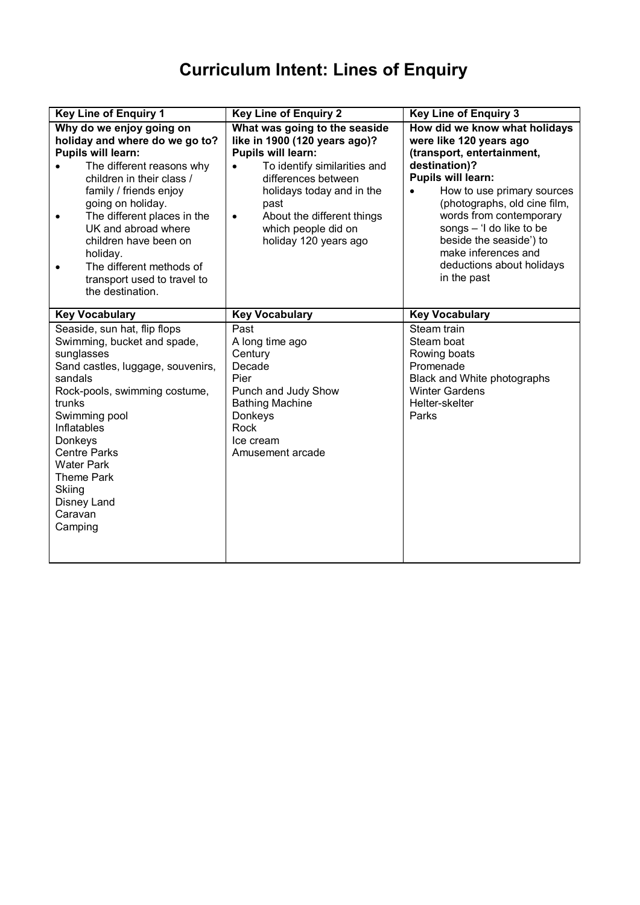## **Curriculum Intent: Lines of Enquiry**

| <b>Key Line of Enquiry 1</b>                                                                                                                                                                                                                                                                                                                                                            | <b>Key Line of Enquiry 2</b>                                                                                                                                                                                                                                                       | <b>Key Line of Enquiry 3</b>                                                                                                                                                                                                                                                                                                                                         |  |
|-----------------------------------------------------------------------------------------------------------------------------------------------------------------------------------------------------------------------------------------------------------------------------------------------------------------------------------------------------------------------------------------|------------------------------------------------------------------------------------------------------------------------------------------------------------------------------------------------------------------------------------------------------------------------------------|----------------------------------------------------------------------------------------------------------------------------------------------------------------------------------------------------------------------------------------------------------------------------------------------------------------------------------------------------------------------|--|
| Why do we enjoy going on<br>holiday and where do we go to?<br><b>Pupils will learn:</b><br>The different reasons why<br>children in their class /<br>family / friends enjoy<br>going on holiday.<br>The different places in the<br>$\bullet$<br>UK and abroad where<br>children have been on<br>holiday.<br>The different methods of<br>transport used to travel to<br>the destination. | What was going to the seaside<br>like in 1900 (120 years ago)?<br><b>Pupils will learn:</b><br>To identify similarities and<br>differences between<br>holidays today and in the<br>past<br>About the different things<br>$\bullet$<br>which people did on<br>holiday 120 years ago | How did we know what holidays<br>were like 120 years ago<br>(transport, entertainment,<br>destination)?<br><b>Pupils will learn:</b><br>How to use primary sources<br>$\bullet$<br>(photographs, old cine film,<br>words from contemporary<br>songs - 'I do like to be<br>beside the seaside') to<br>make inferences and<br>deductions about holidays<br>in the past |  |
| <b>Key Vocabulary</b>                                                                                                                                                                                                                                                                                                                                                                   | <b>Key Vocabulary</b>                                                                                                                                                                                                                                                              | <b>Key Vocabulary</b>                                                                                                                                                                                                                                                                                                                                                |  |
| Seaside, sun hat, flip flops<br>Swimming, bucket and spade,<br>sunglasses<br>Sand castles, luggage, souvenirs,<br>sandals<br>Rock-pools, swimming costume,<br>trunks<br>Swimming pool<br>Inflatables<br>Donkeys<br><b>Centre Parks</b><br><b>Water Park</b><br><b>Theme Park</b><br>Skiing<br>Disney Land<br>Caravan<br>Camping                                                         | Past<br>A long time ago<br>Century<br>Decade<br>Pier<br>Punch and Judy Show<br><b>Bathing Machine</b><br>Donkeys<br>Rock<br>Ice cream<br>Amusement arcade                                                                                                                          | Steam train<br>Steam boat<br>Rowing boats<br>Promenade<br>Black and White photographs<br><b>Winter Gardens</b><br>Helter-skelter<br>Parks                                                                                                                                                                                                                            |  |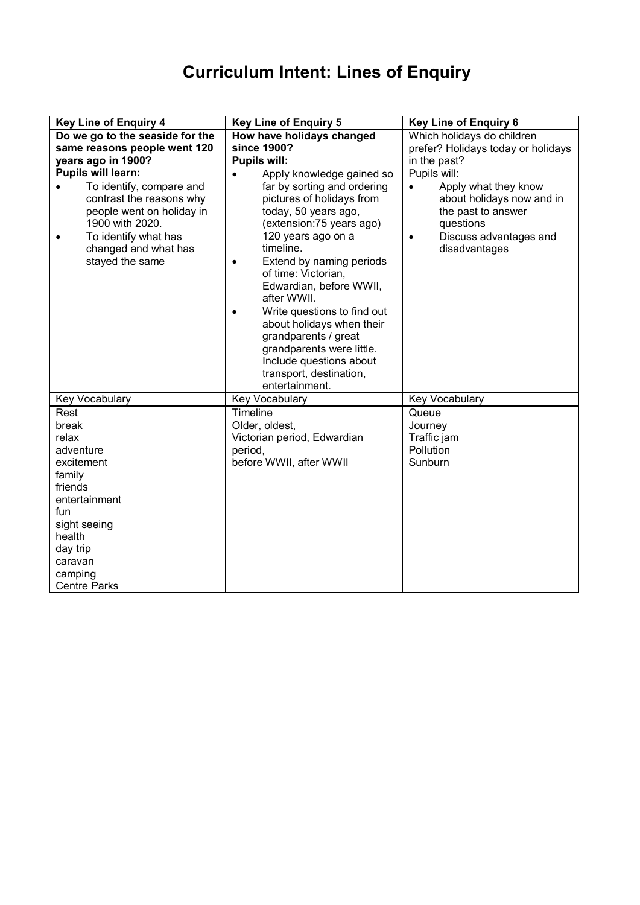## **Curriculum Intent: Lines of Enquiry**

| <b>Key Line of Enquiry 4</b>                                                                                                                                                         | <b>Key Line of Enquiry 5</b>                                                                                                                                                                                                                                                                                                                                                                                                                                    | <b>Key Line of Enquiry 6</b>                                                                                                                              |
|--------------------------------------------------------------------------------------------------------------------------------------------------------------------------------------|-----------------------------------------------------------------------------------------------------------------------------------------------------------------------------------------------------------------------------------------------------------------------------------------------------------------------------------------------------------------------------------------------------------------------------------------------------------------|-----------------------------------------------------------------------------------------------------------------------------------------------------------|
| Do we go to the seaside for the                                                                                                                                                      | How have holidays changed                                                                                                                                                                                                                                                                                                                                                                                                                                       | Which holidays do children                                                                                                                                |
| same reasons people went 120                                                                                                                                                         | since 1900?                                                                                                                                                                                                                                                                                                                                                                                                                                                     | prefer? Holidays today or holidays                                                                                                                        |
| years ago in 1900?                                                                                                                                                                   | Pupils will:                                                                                                                                                                                                                                                                                                                                                                                                                                                    | in the past?                                                                                                                                              |
| <b>Pupils will learn:</b>                                                                                                                                                            | Apply knowledge gained so                                                                                                                                                                                                                                                                                                                                                                                                                                       | Pupils will:                                                                                                                                              |
| To identify, compare and<br>contrast the reasons why<br>people went on holiday in<br>1900 with 2020.<br>To identify what has<br>$\bullet$<br>changed and what has<br>stayed the same | far by sorting and ordering<br>pictures of holidays from<br>today, 50 years ago,<br>(extension:75 years ago)<br>120 years ago on a<br>timeline.<br>Extend by naming periods<br>$\bullet$<br>of time: Victorian,<br>Edwardian, before WWII,<br>after WWII.<br>Write questions to find out<br>$\bullet$<br>about holidays when their<br>grandparents / great<br>grandparents were little.<br>Include questions about<br>transport, destination,<br>entertainment. | Apply what they know<br>$\bullet$<br>about holidays now and in<br>the past to answer<br>questions<br>Discuss advantages and<br>$\bullet$<br>disadvantages |
| Key Vocabulary                                                                                                                                                                       | Key Vocabulary                                                                                                                                                                                                                                                                                                                                                                                                                                                  | Key Vocabulary                                                                                                                                            |
| Rest                                                                                                                                                                                 | Timeline                                                                                                                                                                                                                                                                                                                                                                                                                                                        | Queue                                                                                                                                                     |
| break                                                                                                                                                                                | Older, oldest,                                                                                                                                                                                                                                                                                                                                                                                                                                                  | Journey                                                                                                                                                   |
| relax                                                                                                                                                                                | Victorian period, Edwardian                                                                                                                                                                                                                                                                                                                                                                                                                                     | Traffic jam                                                                                                                                               |
| adventure                                                                                                                                                                            | period,                                                                                                                                                                                                                                                                                                                                                                                                                                                         | Pollution                                                                                                                                                 |
| excitement                                                                                                                                                                           | before WWII, after WWII                                                                                                                                                                                                                                                                                                                                                                                                                                         | Sunburn                                                                                                                                                   |
| family                                                                                                                                                                               |                                                                                                                                                                                                                                                                                                                                                                                                                                                                 |                                                                                                                                                           |
| friends                                                                                                                                                                              |                                                                                                                                                                                                                                                                                                                                                                                                                                                                 |                                                                                                                                                           |
| entertainment                                                                                                                                                                        |                                                                                                                                                                                                                                                                                                                                                                                                                                                                 |                                                                                                                                                           |
| fun                                                                                                                                                                                  |                                                                                                                                                                                                                                                                                                                                                                                                                                                                 |                                                                                                                                                           |
| sight seeing                                                                                                                                                                         |                                                                                                                                                                                                                                                                                                                                                                                                                                                                 |                                                                                                                                                           |
| health                                                                                                                                                                               |                                                                                                                                                                                                                                                                                                                                                                                                                                                                 |                                                                                                                                                           |
| day trip                                                                                                                                                                             |                                                                                                                                                                                                                                                                                                                                                                                                                                                                 |                                                                                                                                                           |
| caravan                                                                                                                                                                              |                                                                                                                                                                                                                                                                                                                                                                                                                                                                 |                                                                                                                                                           |
| camping                                                                                                                                                                              |                                                                                                                                                                                                                                                                                                                                                                                                                                                                 |                                                                                                                                                           |
| <b>Centre Parks</b>                                                                                                                                                                  |                                                                                                                                                                                                                                                                                                                                                                                                                                                                 |                                                                                                                                                           |